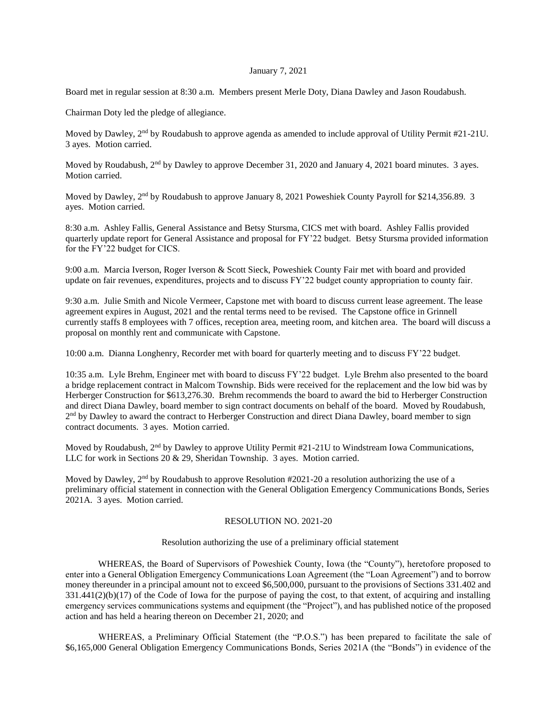## January 7, 2021

Board met in regular session at 8:30 a.m. Members present Merle Doty, Diana Dawley and Jason Roudabush.

Chairman Doty led the pledge of allegiance.

Moved by Dawley, 2<sup>nd</sup> by Roudabush to approve agenda as amended to include approval of Utility Permit #21-21U. 3 ayes. Motion carried.

Moved by Roudabush, 2<sup>nd</sup> by Dawley to approve December 31, 2020 and January 4, 2021 board minutes. 3 ayes. Motion carried.

Moved by Dawley, 2<sup>nd</sup> by Roudabush to approve January 8, 2021 Poweshiek County Payroll for \$214,356.89. 3 ayes. Motion carried.

8:30 a.m. Ashley Fallis, General Assistance and Betsy Stursma, CICS met with board. Ashley Fallis provided quarterly update report for General Assistance and proposal for FY'22 budget. Betsy Stursma provided information for the FY'22 budget for CICS.

9:00 a.m. Marcia Iverson, Roger Iverson & Scott Sieck, Poweshiek County Fair met with board and provided update on fair revenues, expenditures, projects and to discuss FY'22 budget county appropriation to county fair.

9:30 a.m. Julie Smith and Nicole Vermeer, Capstone met with board to discuss current lease agreement. The lease agreement expires in August, 2021 and the rental terms need to be revised. The Capstone office in Grinnell currently staffs 8 employees with 7 offices, reception area, meeting room, and kitchen area. The board will discuss a proposal on monthly rent and communicate with Capstone.

10:00 a.m. Dianna Longhenry, Recorder met with board for quarterly meeting and to discuss FY'22 budget.

10:35 a.m. Lyle Brehm, Engineer met with board to discuss FY'22 budget. Lyle Brehm also presented to the board a bridge replacement contract in Malcom Township. Bids were received for the replacement and the low bid was by Herberger Construction for \$613,276.30. Brehm recommends the board to award the bid to Herberger Construction and direct Diana Dawley, board member to sign contract documents on behalf of the board. Moved by Roudabush, 2<sup>nd</sup> by Dawley to award the contract to Herberger Construction and direct Diana Dawley, board member to sign contract documents. 3 ayes. Motion carried.

Moved by Roudabush,  $2<sup>nd</sup>$  by Dawley to approve Utility Permit #21-21U to Windstream Iowa Communications, LLC for work in Sections 20 & 29, Sheridan Township. 3 ayes. Motion carried.

Moved by Dawley,  $2<sup>nd</sup>$  by Roudabush to approve Resolution #2021-20 a resolution authorizing the use of a preliminary official statement in connection with the General Obligation Emergency Communications Bonds, Series 2021A. 3 ayes. Motion carried.

## RESOLUTION NO. 2021-20

Resolution authorizing the use of a preliminary official statement

WHEREAS, the Board of Supervisors of Poweshiek County, Iowa (the "County"), heretofore proposed to enter into a General Obligation Emergency Communications Loan Agreement (the "Loan Agreement") and to borrow money thereunder in a principal amount not to exceed \$6,500,000, pursuant to the provisions of Sections 331.402 and  $331.441(2)(b)(17)$  of the Code of Iowa for the purpose of paying the cost, to that extent, of acquiring and installing emergency services communications systems and equipment (the "Project"), and has published notice of the proposed action and has held a hearing thereon on December 21, 2020; and

WHEREAS, a Preliminary Official Statement (the "P.O.S.") has been prepared to facilitate the sale of \$6,165,000 General Obligation Emergency Communications Bonds, Series 2021A (the "Bonds") in evidence of the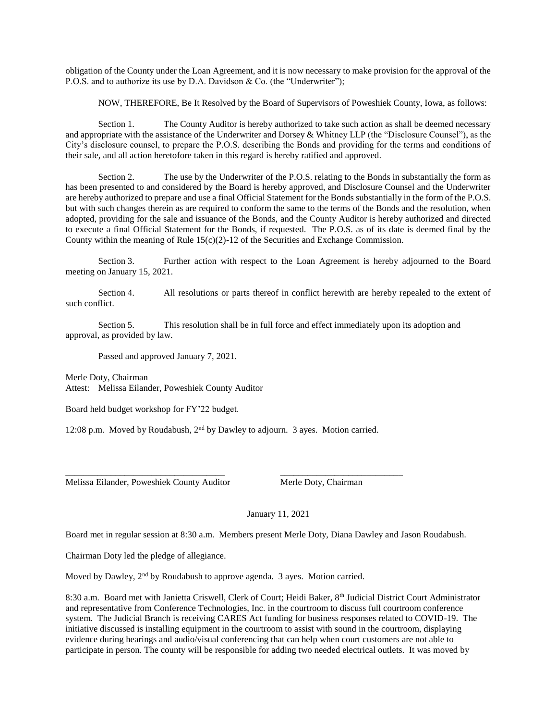obligation of the County under the Loan Agreement, and it is now necessary to make provision for the approval of the P.O.S. and to authorize its use by D.A. Davidson & Co. (the "Underwriter");

NOW, THEREFORE, Be It Resolved by the Board of Supervisors of Poweshiek County, Iowa, as follows:

Section 1. The County Auditor is hereby authorized to take such action as shall be deemed necessary and appropriate with the assistance of the Underwriter and Dorsey & Whitney LLP (the "Disclosure Counsel"), as the City's disclosure counsel, to prepare the P.O.S. describing the Bonds and providing for the terms and conditions of their sale, and all action heretofore taken in this regard is hereby ratified and approved.

Section 2. The use by the Underwriter of the P.O.S. relating to the Bonds in substantially the form as has been presented to and considered by the Board is hereby approved, and Disclosure Counsel and the Underwriter are hereby authorized to prepare and use a final Official Statement for the Bonds substantially in the form of the P.O.S. but with such changes therein as are required to conform the same to the terms of the Bonds and the resolution, when adopted, providing for the sale and issuance of the Bonds, and the County Auditor is hereby authorized and directed to execute a final Official Statement for the Bonds, if requested. The P.O.S. as of its date is deemed final by the County within the meaning of Rule  $15(c)(2)-12$  of the Securities and Exchange Commission.

Section 3. Further action with respect to the Loan Agreement is hereby adjourned to the Board meeting on January 15, 2021.

Section 4. All resolutions or parts thereof in conflict herewith are hereby repealed to the extent of such conflict.

Section 5. This resolution shall be in full force and effect immediately upon its adoption and approval, as provided by law.

Passed and approved January 7, 2021.

Merle Doty, Chairman Attest: Melissa Eilander, Poweshiek County Auditor

Board held budget workshop for FY'22 budget.

12:08 p.m. Moved by Roudabush, 2nd by Dawley to adjourn. 3 ayes. Motion carried.

\_\_\_\_\_\_\_\_\_\_\_\_\_\_\_\_\_\_\_\_\_\_\_\_\_\_\_\_\_\_\_\_\_\_\_ \_\_\_\_\_\_\_\_\_\_\_\_\_\_\_\_\_\_\_\_\_\_\_\_\_\_\_

Melissa Eilander, Poweshiek County Auditor Merle Doty, Chairman

January 11, 2021

Board met in regular session at 8:30 a.m. Members present Merle Doty, Diana Dawley and Jason Roudabush.

Chairman Doty led the pledge of allegiance.

Moved by Dawley, 2<sup>nd</sup> by Roudabush to approve agenda. 3 ayes. Motion carried.

8:30 a.m. Board met with Janietta Criswell, Clerk of Court; Heidi Baker, 8th Judicial District Court Administrator and representative from Conference Technologies, Inc. in the courtroom to discuss full courtroom conference system. The Judicial Branch is receiving CARES Act funding for business responses related to COVID-19. The initiative discussed is installing equipment in the courtroom to assist with sound in the courtroom, displaying evidence during hearings and audio/visual conferencing that can help when court customers are not able to participate in person. The county will be responsible for adding two needed electrical outlets. It was moved by